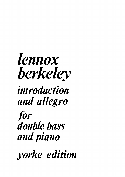## *lennox* berkeley introduction and allegro for *double bass* and piano *vorke edition*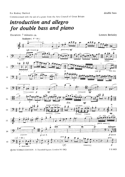For Rodney Slatford

Commissioned with the aid of a grant from the Arts Council of Great Britain

## introduction and allegro for double bass and piano

Duration: 7 minutes ca.

Lennox Berkeley

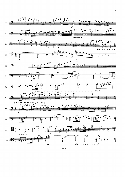

 $\cdot$  Y E 0021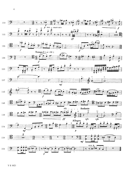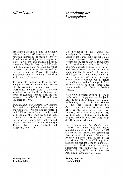anmerkung des herausgebers

Sir Lennox Berkeley's eightieth birthday celebrations in 1983 were marked by <sup>a</sup> renewed interest in the music of one of Britain's most distinguished composers. Born in Oxford and graduating from Merton College in French, Old French and Philology, it was not until 1927 that a meeting with Ravel led to serious musical studies in Paris with Nadia Boulanger and a life-long friendship with Francis Poulenc.

Returning to London in 1935, he met Benjamin Britten whom he became closely associated for many years. He worked for the BBC from 1942-45 and was Professor at the Royal Academy of Music in London from 1946-68. He was awarded the CBE in 1957 and was knighted in 1974.

Introduction and Allegro for double bass and piano  $(Op.80)$  was written in the summer of l97l for Rodney Slatford and Clifford Lee and was commissioned with the aid of a grant from The Arts Council of Great Britain. It was first performed in London later that year and was first broadcast from the Aldeburgh<br>Festival by Rodney Slatford and Festival by Rodney Slatford Clifford Lee in 1976.

Rodney Slatford London 1983

Die Festlichkeiten aus Anlass des achtzigsten Geburtstags von Sir Lennox Berkeley im Jahre 1983 erweckten ein erneutes Interesse an der Musik dieses Komponisten, der zu den bedeutendsten in Grossbritannien zahlt. In Oxford geboren, studierte Lennox Berkeley dort und bestand seine Abschlussprùfung in altem und neuem Franzósisch, sowie in Philologie. Erst eine Begegnung mit Ravel im Jahre 1921 hatte zur Folge, dass er sich ernsthaft dem Musikstudium als Schùler von Nadia Boulanger in Paris widmete, wo er auch eine lebenslange Freundschaft mit Francis Poulenc schloss.

Als Lennox Berkeley 1935 nach London zurückkehrte, begegnete er Benjamin Britten, mit dem er durch viele Jahre in Verbindung stand. 1942-45 arbeitete er für die British Broadcasting Corporation, und von 1946 bis <sup>1968</sup> lehrte er als Professor an der Royal Academy of Music in London. 1957 wurde ihm das OBE (Order of the British Empire) verliehen, und 1974 wurde er in den Ritterstand erhoben.

Die Komposition Introduction and Allegro for double bass and piano (Op.80) stammt aus dem Sommer l97l und wurde im Auftrag, mit Beihilfe des Arts Council of Great Britain, fúr Rodney Slatford und Clifford Lee geschrieben. Die Erstaufführung fand noch im gleichen im London Jahre statt, und das Werk wurde erstmalig, ausgefùhrt von Rodney Slatford und Clifford Lee, 1976 im Rahmen der Aldeburgh Festspiele übertragen.

Rodney Slatford London 1983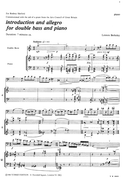## introduction and allegro for double bass and piano

Duration: 7 minutes ca.

Lennox Berkeley



©1984 YORKE EDITION 31 Thornhill Square, London N1 1BQ.

 $\overline{2}$ 

piano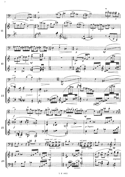

 $\overline{\mathbf{3}}$ 

Y E 0021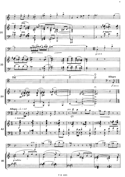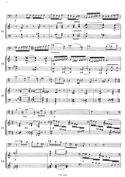

 $\overline{\mathbf{S}}$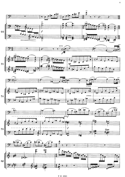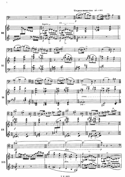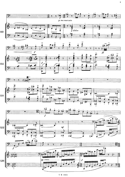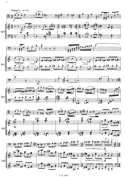